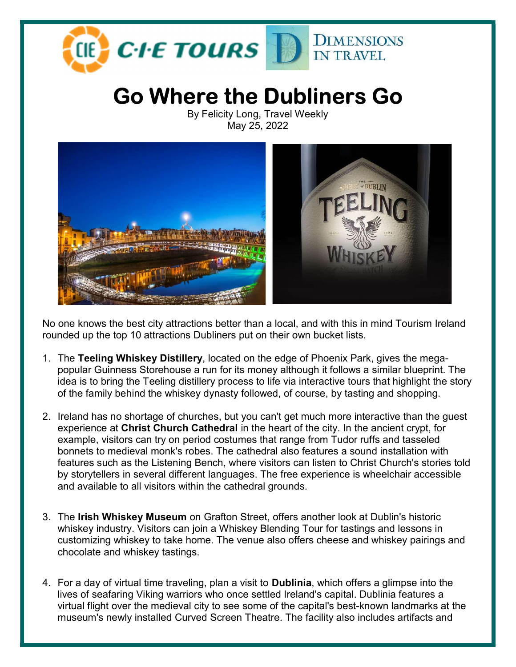

## Go Where the Dubliners Go

By Felicity Long, Travel Weekly May 25, 2022



No one knows the best city attractions better than a local, and with this in mind Tourism Ireland rounded up the top 10 attractions Dubliners put on their own bucket lists.

- 1. The Teeling Whiskey Distillery, located on the edge of Phoenix Park, gives the megapopular Guinness Storehouse a run for its money although it follows a similar blueprint. The idea is to bring the Teeling distillery process to life via interactive tours that highlight the story of the family behind the whiskey dynasty followed, of course, by tasting and shopping.
- 2. Ireland has no shortage of churches, but you can't get much more interactive than the guest experience at Christ Church Cathedral in the heart of the city. In the ancient crypt, for example, visitors can try on period costumes that range from Tudor ruffs and tasseled bonnets to medieval monk's robes. The cathedral also features a sound installation with features such as the Listening Bench, where visitors can listen to Christ Church's stories told by storytellers in several different languages. The free experience is wheelchair accessible and available to all visitors within the cathedral grounds.
- 3. The Irish Whiskey Museum on Grafton Street, offers another look at Dublin's historic whiskey industry. Visitors can join a Whiskey Blending Tour for tastings and lessons in customizing whiskey to take home. The venue also offers cheese and whiskey pairings and chocolate and whiskey tastings.
- 4. For a day of virtual time traveling, plan a visit to Dublinia, which offers a glimpse into the lives of seafaring Viking warriors who once settled Ireland's capital. Dublinia features a virtual flight over the medieval city to see some of the capital's best-known landmarks at the museum's newly installed Curved Screen Theatre. The facility also includes artifacts and